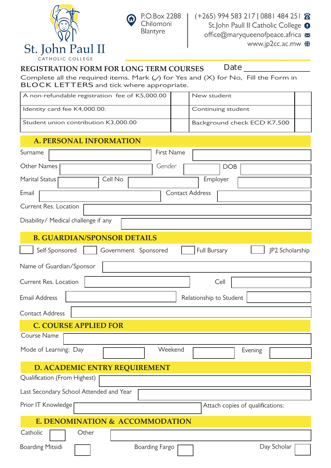



### **REGISTRATION FORM FOR LONG TERM COURSES Date \_\_\_\_\_\_\_\_\_\_\_\_\_\_\_\_\_**

Complete all the required items. Mark  $(\vee)$  for Yes and  $(X)$  for No, Fill the Form in **BLOCK LETTERS** and tick where appropriate.

| A non-refundable registration fee of K5,000.00                            |            | New student                 |  |  |  |  |
|---------------------------------------------------------------------------|------------|-----------------------------|--|--|--|--|
| Identity card fee K4,000.00.                                              |            | Continuing student          |  |  |  |  |
| Student union contribution K3,000.00                                      |            | Background check ECD K7,500 |  |  |  |  |
| <b>A. PERSONAL INFORMATION</b>                                            |            |                             |  |  |  |  |
| Surname                                                                   | First Name |                             |  |  |  |  |
| <b>Other Names</b>                                                        | Gender     | <b>DOB</b>                  |  |  |  |  |
| <b>Marital Status</b><br>Cell No                                          |            | Employer                    |  |  |  |  |
| <b>Contact Address</b><br>Email                                           |            |                             |  |  |  |  |
| Current Res. Location                                                     |            |                             |  |  |  |  |
| Disability/ Medical challenge if any                                      |            |                             |  |  |  |  |
| <b>B. GUARDIAN/SPONSOR DETAILS</b>                                        |            |                             |  |  |  |  |
| Full Bursary<br>JP2 Scholarship<br>Self-Sponsored<br>Government Sponsored |            |                             |  |  |  |  |
| Name of Guardian/Sponsor                                                  |            |                             |  |  |  |  |
| Current Res. Location<br>Cell                                             |            |                             |  |  |  |  |
| <b>Email Address</b><br>Relationship to Student                           |            |                             |  |  |  |  |
| <b>Contact Address</b>                                                    |            |                             |  |  |  |  |
| <b>C. COURSE APPLIED FOR</b>                                              |            |                             |  |  |  |  |

Mode of Learning: Day Weekend Evening Course Name **D. ACADEMIC ENTRY REQUIREMENT** Qualification (From Highest) Last Secondary School Attended and Year Prior IT Knowledge **Attach copies of qualifications: E. DENOMINATION & ACCOMMODATION** Boarding Mitsidi **Fig. 2.1 Fig. 2.1 Fig. 2.1 Fig. 2.1 Fig. 2.1 Fig. 2.1 Fig. 2.1 Fig. 2.1 Fig. 2.1 Fig. 2.1 Fig. 2.1 Fig. 2.1 Fig. 2.1 Fig. 2.1 Fig. 2.1 Fig. 2.1 Fig. 2.1 Fig. 2.1 Fig. 2.1 Fig. 2.1 Fig. 2.1 Fig. 2.1 Fig. 2** Catholic **Catholic** Other Day Scholar